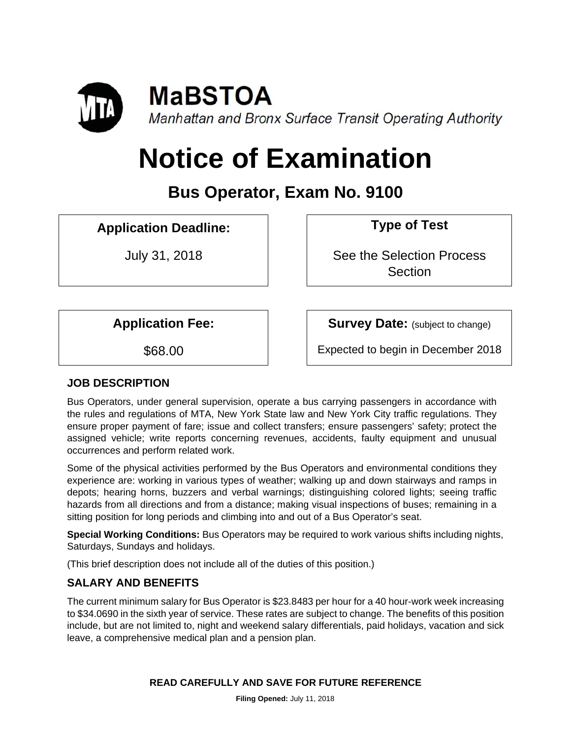

# **Notice of Examination**

# **Bus Operator, Exam No. 9100**

# **Application Deadline: Type of Test**

July 31, 2018 **See the Selection Process Section** 

**Application Fee:** Survey Date: (subject to change)

\$68.00 Expected to begin in December 2018

# **JOB DESCRIPTION**

Bus Operators, under general supervision, operate a bus carrying passengers in accordance with the rules and regulations of MTA, New York State law and New York City traffic regulations. They ensure proper payment of fare; issue and collect transfers; ensure passengers' safety; protect the assigned vehicle; write reports concerning revenues, accidents, faulty equipment and unusual occurrences and perform related work.

Some of the physical activities performed by the Bus Operators and environmental conditions they experience are: working in various types of weather; walking up and down stairways and ramps in depots; hearing horns, buzzers and verbal warnings; distinguishing colored lights; seeing traffic hazards from all directions and from a distance; making visual inspections of buses; remaining in a sitting position for long periods and climbing into and out of a Bus Operator's seat.

**Special Working Conditions:** Bus Operators may be required to work various shifts including nights, Saturdays, Sundays and holidays.

(This brief description does not include all of the duties of this position.)

# **SALARY AND BENEFITS**

The current minimum salary for Bus Operator is \$23.8483 per hour for a 40 hour-work week increasing to \$34.0690 in the sixth year of service. These rates are subject to change. The benefits of this position include, but are not limited to, night and weekend salary differentials, paid holidays, vacation and sick leave, a comprehensive medical plan and a pension plan.

# **READ CAREFULLY AND SAVE FOR FUTURE REFERENCE**

**Filing Opened:** July 11, 2018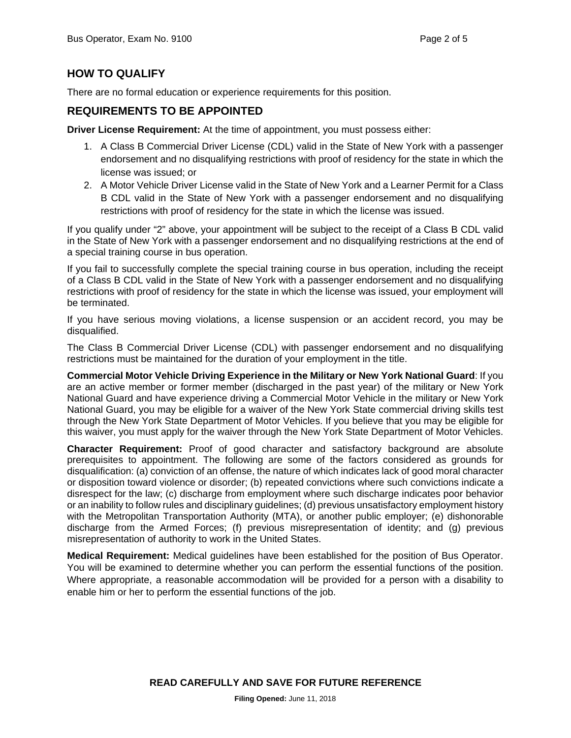# **HOW TO QUALIFY**

There are no formal education or experience requirements for this position.

#### **REQUIREMENTS TO BE APPOINTED**

**Driver License Requirement:** At the time of appointment, you must possess either:

- 1. A Class B Commercial Driver License (CDL) valid in the State of New York with a passenger endorsement and no disqualifying restrictions with proof of residency for the state in which the license was issued; or
- 2. A Motor Vehicle Driver License valid in the State of New York and a Learner Permit for a Class B CDL valid in the State of New York with a passenger endorsement and no disqualifying restrictions with proof of residency for the state in which the license was issued.

If you qualify under "2" above, your appointment will be subject to the receipt of a Class B CDL valid in the State of New York with a passenger endorsement and no disqualifying restrictions at the end of a special training course in bus operation.

If you fail to successfully complete the special training course in bus operation, including the receipt of a Class B CDL valid in the State of New York with a passenger endorsement and no disqualifying restrictions with proof of residency for the state in which the license was issued, your employment will be terminated.

If you have serious moving violations, a license suspension or an accident record, you may be disqualified.

The Class B Commercial Driver License (CDL) with passenger endorsement and no disqualifying restrictions must be maintained for the duration of your employment in the title.

**Commercial Motor Vehicle Driving Experience in the Military or New York National Guard**: If you are an active member or former member (discharged in the past year) of the military or New York National Guard and have experience driving a Commercial Motor Vehicle in the military or New York National Guard, you may be eligible for a waiver of the New York State commercial driving skills test through the New York State Department of Motor Vehicles. If you believe that you may be eligible for this waiver, you must apply for the waiver through the New York State Department of Motor Vehicles.

**Character Requirement:** Proof of good character and satisfactory background are absolute prerequisites to appointment. The following are some of the factors considered as grounds for disqualification: (a) conviction of an offense, the nature of which indicates lack of good moral character or disposition toward violence or disorder; (b) repeated convictions where such convictions indicate a disrespect for the law; (c) discharge from employment where such discharge indicates poor behavior or an inability to follow rules and disciplinary guidelines; (d) previous unsatisfactory employment history with the Metropolitan Transportation Authority (MTA), or another public employer; (e) dishonorable discharge from the Armed Forces; (f) previous misrepresentation of identity; and (g) previous misrepresentation of authority to work in the United States.

**Medical Requirement:** Medical guidelines have been established for the position of Bus Operator. You will be examined to determine whether you can perform the essential functions of the position. Where appropriate, a reasonable accommodation will be provided for a person with a disability to enable him or her to perform the essential functions of the job.

**READ CAREFULLY AND SAVE FOR FUTURE REFERENCE**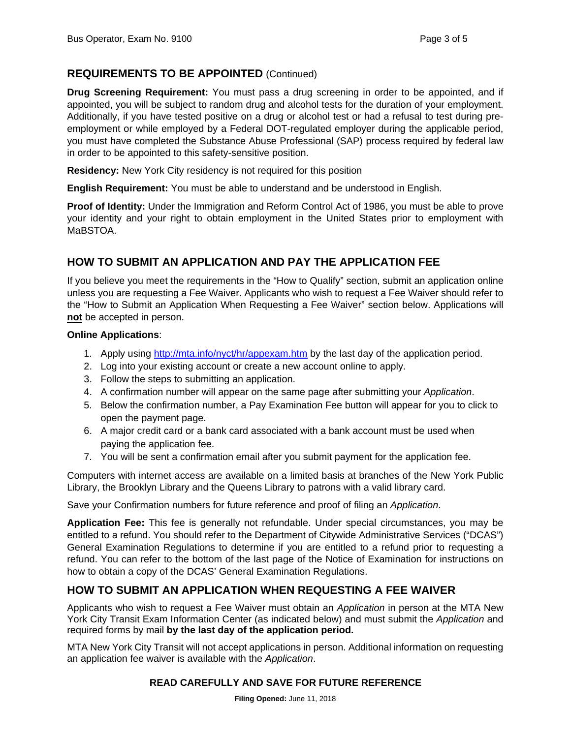# **REQUIREMENTS TO BE APPOINTED** (Continued)

**Drug Screening Requirement:** You must pass a drug screening in order to be appointed, and if appointed, you will be subject to random drug and alcohol tests for the duration of your employment. Additionally, if you have tested positive on a drug or alcohol test or had a refusal to test during preemployment or while employed by a Federal DOT-regulated employer during the applicable period, you must have completed the Substance Abuse Professional (SAP) process required by federal law in order to be appointed to this safety-sensitive position.

**Residency:** New York City residency is not required for this position

**English Requirement:** You must be able to understand and be understood in English.

**Proof of Identity:** Under the Immigration and Reform Control Act of 1986, you must be able to prove your identity and your right to obtain employment in the United States prior to employment with MaBSTOA.

# **HOW TO SUBMIT AN APPLICATION AND PAY THE APPLICATION FEE**

If you believe you meet the requirements in the "How to Qualify" section, submit an application online unless you are requesting a Fee Waiver. Applicants who wish to request a Fee Waiver should refer to the "How to Submit an Application When Requesting a Fee Waiver" section below. Applications will **not** be accepted in person.

#### **Online Applications**:

- 1. Apply using http://mta.info/nyct/hr/appexam.htm by the last day of the application period.
- 2. Log into your existing account or create a new account online to apply.
- 3. Follow the steps to submitting an application.
- 4. A confirmation number will appear on the same page after submitting your *Application*.
- 5. Below the confirmation number, a Pay Examination Fee button will appear for you to click to open the payment page.
- 6. A major credit card or a bank card associated with a bank account must be used when paying the application fee.
- 7. You will be sent a confirmation email after you submit payment for the application fee.

Computers with internet access are available on a limited basis at branches of the New York Public Library, the Brooklyn Library and the Queens Library to patrons with a valid library card.

Save your Confirmation numbers for future reference and proof of filing an *Application*.

**Application Fee:** This fee is generally not refundable. Under special circumstances, you may be entitled to a refund. You should refer to the Department of Citywide Administrative Services ("DCAS") General Examination Regulations to determine if you are entitled to a refund prior to requesting a refund. You can refer to the bottom of the last page of the Notice of Examination for instructions on how to obtain a copy of the DCAS' General Examination Regulations.

# **HOW TO SUBMIT AN APPLICATION WHEN REQUESTING A FEE WAIVER**

Applicants who wish to request a Fee Waiver must obtain an *Application* in person at the MTA New York City Transit Exam Information Center (as indicated below) and must submit the *Application* and required forms by mail **by the last day of the application period.** 

MTA New York City Transit will not accept applications in person. Additional information on requesting an application fee waiver is available with the *Application*.

#### **READ CAREFULLY AND SAVE FOR FUTURE REFERENCE**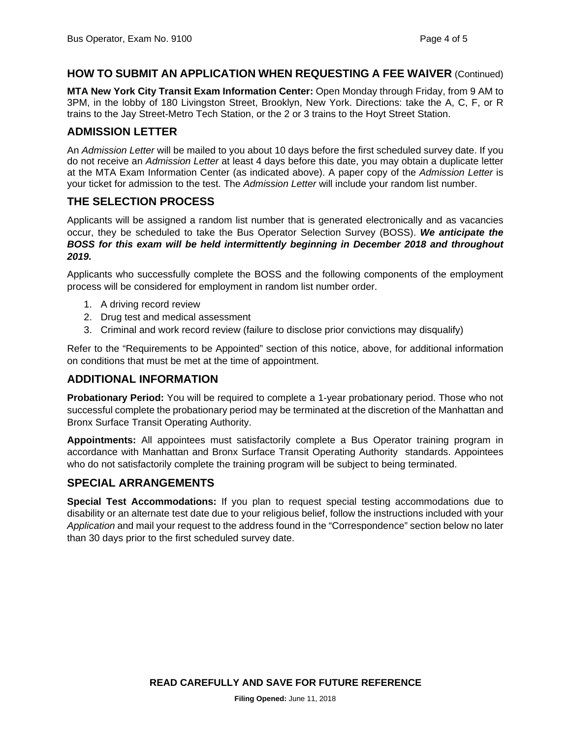# **HOW TO SUBMIT AN APPLICATION WHEN REQUESTING A FEE WAIVER** (Continued)

**MTA New York City Transit Exam Information Center:** Open Monday through Friday, from 9 AM to 3PM, in the lobby of 180 Livingston Street, Brooklyn, New York. Directions: take the A, C, F, or R trains to the Jay Street-Metro Tech Station, or the 2 or 3 trains to the Hoyt Street Station.

#### **ADMISSION LETTER**

An *Admission Letter* will be mailed to you about 10 days before the first scheduled survey date. If you do not receive an *Admission Letter* at least 4 days before this date, you may obtain a duplicate letter at the MTA Exam Information Center (as indicated above). A paper copy of the *Admission Letter* is your ticket for admission to the test. The *Admission Letter* will include your random list number.

# **THE SELECTION PROCESS**

Applicants will be assigned a random list number that is generated electronically and as vacancies occur, they be scheduled to take the Bus Operator Selection Survey (BOSS). *We anticipate the BOSS for this exam will be held intermittently beginning in December 2018 and throughout 2019.* 

Applicants who successfully complete the BOSS and the following components of the employment process will be considered for employment in random list number order.

- 1. A driving record review
- 2. Drug test and medical assessment
- 3. Criminal and work record review (failure to disclose prior convictions may disqualify)

Refer to the "Requirements to be Appointed" section of this notice, above, for additional information on conditions that must be met at the time of appointment.

# **ADDITIONAL INFORMATION**

**Probationary Period:** You will be required to complete a 1-year probationary period. Those who not successful complete the probationary period may be terminated at the discretion of the Manhattan and Bronx Surface Transit Operating Authority.

**Appointments:** All appointees must satisfactorily complete a Bus Operator training program in accordance with Manhattan and Bronx Surface Transit Operating Authority standards. Appointees who do not satisfactorily complete the training program will be subject to being terminated.

# **SPECIAL ARRANGEMENTS**

**Special Test Accommodations:** If you plan to request special testing accommodations due to disability or an alternate test date due to your religious belief, follow the instructions included with your *Application* and mail your request to the address found in the "Correspondence" section below no later than 30 days prior to the first scheduled survey date.